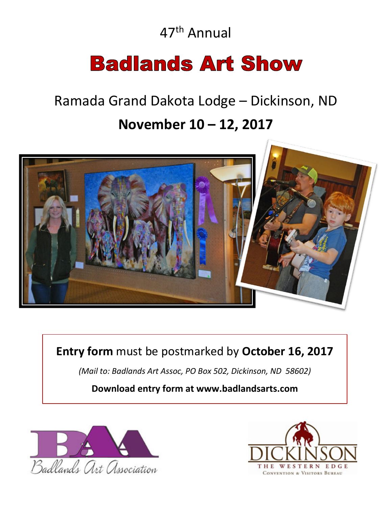47th Annual

# **Badlands Art Show**

# Ramada Grand Dakota Lodge – Dickinson, ND

## **November 10 – 12, 2017**



**Entry form** must be postmarked by **October 16, 2017**

*(Mail to: Badlands Art Assoc, PO Box 502, Dickinson, ND 58602)*

### **Download entry form at www.badlandsarts.com**



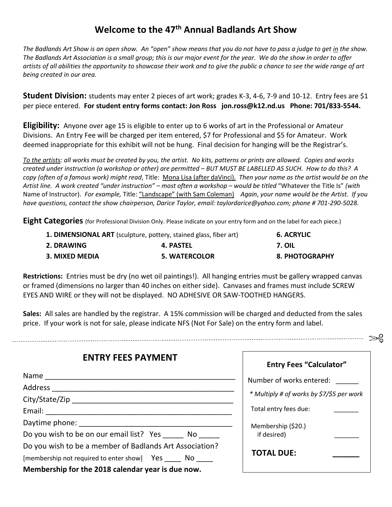### **Welcome to the 47th Annual Badlands Art Show**

The Badlands Art Show is an open show. An "open" show means that you do not have to pass a judge to get <u>in</u> the show. *The Badlands Art Association is a small group; this is our major event for the year. We do the show in order to offer artists of all abilities the opportunity to showcase their work and to give the public a chance to see the wide range of art being created in our area.*

**Student Division:** students may enter 2 pieces of art work; grades K-3, 4-6, 7-9 and 10-12. Entry fees are \$1 per piece entered. **For student entry forms contact: Jon Ross jon.ross@k12.nd.us Phone: 701/833-5544.**

**Eligibility:** Anyone over age 15 is eligible to enter up to 6 works of art in the Professional or Amateur Divisions. An Entry Fee will be charged per item entered, \$7 for Professional and \$5 for Amateur. Work deemed inappropriate for this exhibit will not be hung. Final decision for hanging will be the Registrar's.

*To the artists: all works must be created by you, the artist. No kits, patterns or prints are allowed. Copies and works created under instruction (a workshop or other) are permitted – BUT MUST BE LABELLED AS SUCH. How to do this? A copy (often of a famous work) might read*, Title: Mona Lisa (after daVinci). *Then your name as the artist would be on the Artist line. A work created "under instruction" – most often a workshop – would be titled* "Whatever the Title Is" *(with*  Name of Instructor). *For example,* Title: "Landscape" (with Sam Coleman) *Again*, *your name would be the Artist. If you have questions, contact the show chairperson, Darice Taylor, email: taylordarice@yahoo.com; phone # 701-290-5028.*

**Eight Categories** (for Professional Division Only. Please indicate on your entry form and on the label for each piece.)

| 1. DIMENSIONAL ART (sculpture, pottery, stained glass, fiber art) | <b>6. ACRYLIC</b>    |                       |
|-------------------------------------------------------------------|----------------------|-----------------------|
| 2. DRAWING                                                        | 4. PASTEL            | 7. OIL                |
| 3. MIXED MEDIA                                                    | <b>5. WATERCOLOR</b> | <b>8. PHOTOGRAPHY</b> |

**Restrictions:** Entries must be dry (no wet oil paintings!). All hanging entries must be gallery wrapped canvas or framed (dimensions no larger than 40 inches on either side). Canvases and frames must include SCREW EYES AND WIRE or they will not be displayed. NO ADHESIVE OR SAW-TOOTHED HANGERS.

**Sales:** All sales are handled by the registrar. A 15% commission will be charged and deducted from the sales price. If your work is not for sale, please indicate NFS (Not For Sale) on the entry form and label.

| <b>ENTRY FEES PAYMENT</b>                               | Ent              |
|---------------------------------------------------------|------------------|
|                                                         | Number           |
|                                                         | * Multiply       |
|                                                         | <b>Total ent</b> |
|                                                         | Member:          |
| Do you wish to be on our email list? Yes No             | if desir         |
| Do you wish to be a member of Badlands Art Association? | <b>TOTAL</b>     |
| [membership not required to enter show] Yes No          |                  |
| Membership for the 2018 calendar year is due now.       |                  |

| <b>Entry Fees "Calculator"</b>            |  |  |  |  |
|-------------------------------------------|--|--|--|--|
| Number of works entered:                  |  |  |  |  |
| * Multiply # of works by \$7/\$5 per work |  |  |  |  |
| Total entry fees due:                     |  |  |  |  |
| Membership (\$20.)<br>if desired)         |  |  |  |  |
| <b>TOTAL DUE:</b>                         |  |  |  |  |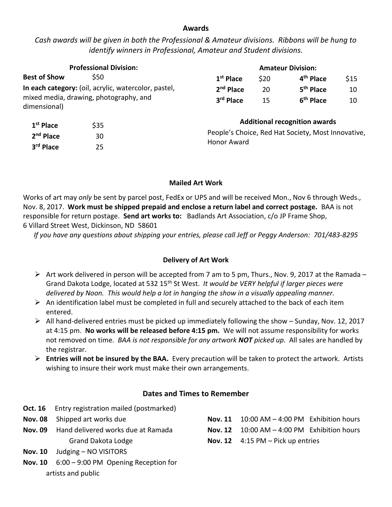#### **Awards**

#### *Cash awards will be given in both the Professional & Amateur divisions. Ribbons will be hung to identify winners in Professional, Amateur and Student divisions.*

|                                                        | <b>Professional Division:</b> |                                                                                                           |                       | <b>Amateur Division:</b> |      |
|--------------------------------------------------------|-------------------------------|-----------------------------------------------------------------------------------------------------------|-----------------------|--------------------------|------|
| <b>Best of Show</b>                                    | \$50                          | $1st$ Place                                                                                               | \$20                  | 4 <sup>th</sup> Place    | \$15 |
| In each category: (oil, acrylic, watercolor, pastel,   |                               | $2nd$ Place                                                                                               | 20                    | 5 <sup>th</sup> Place    | 10   |
| mixed media, drawing, photography, and<br>dimensional) | 3rd Place                     | 15                                                                                                        | 6 <sup>th</sup> Place | 10                       |      |
| 1 <sup>st</sup> Place                                  | \$35                          | <b>Additional recognition awards</b><br>People's Choice, Red Hat Society, Most Innovative,<br>Honor Award |                       |                          |      |
| $2nd$ Place                                            | 30                            |                                                                                                           |                       |                          |      |
| 3rd Place                                              | 25                            |                                                                                                           |                       |                          |      |

#### **Mailed Art Work**

Works of art may *only* be sent by parcel post, FedEx or UPS and will be received Mon., Nov 6 through Weds., Nov. 8, 2017. **Work must be shipped prepaid and enclose a return label and correct postage.** BAA is not responsible for return postage. **Send art works to:** Badlands Art Association, c/o JP Frame Shop, 6 Villard Street West, Dickinson, ND 58601

*If you have any questions about shipping your entries, please call Jeff or Peggy Anderson: 701/483-8295*

#### **Delivery of Art Work**

- $\triangleright$  Art work delivered in person will be accepted from 7 am to 5 pm, Thurs., Nov. 9, 2017 at the Ramada Grand Dakota Lodge, located at 532 15th St West. *It would be VERY helpful if larger pieces were delivered by Noon. This would help a lot in hanging the show in a visually appealing manner.*
- $\triangleright$  An identification label must be completed in full and securely attached to the back of each item entered.
- $\triangleright$  All hand-delivered entries must be picked up immediately following the show Sunday, Nov. 12, 2017 at 4:15 pm. **No works will be released before 4:15 pm.** We will not assume responsibility for works not removed on time. *BAA is not responsible for any artwork NOT picked up.* All sales are handled by the registrar.
- ➢ **Entries will not be insured by the BAA.** Every precaution will be taken to protect the artwork. Artists wishing to insure their work must make their own arrangements.

#### **Dates and Times to Remember**

- **Oct. 16** Entry registration mailed (postmarked)
- **Nov. 08** Shipped art works due
- **Nov. 09** Hand delivered works due at Ramada Grand Dakota Lodge
- **Nov. 10** Judging NO VISITORS
- **Nov. 10** 6:00 9:00 PM Opening Reception for artists and public
- **Nov. 11** 10:00 AM 4:00 PM Exhibition hours **Nov. 12** 10:00 AM – 4:00 PM Exhibition hours **Nov. 12** 4:15 PM – Pick up entries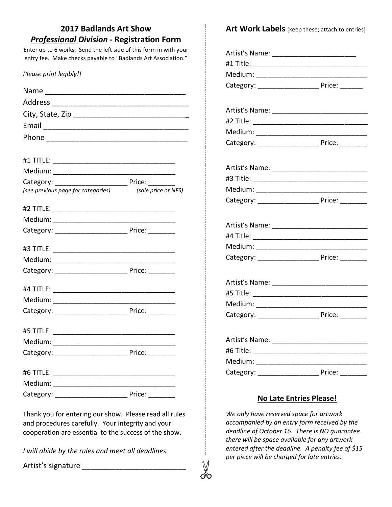| <b>2017 Badlands Art Show</b>                                                                                                                                                                                             | Art Work Labels [keep these; attach to entries]                                                                                                                                                                                                |  |
|---------------------------------------------------------------------------------------------------------------------------------------------------------------------------------------------------------------------------|------------------------------------------------------------------------------------------------------------------------------------------------------------------------------------------------------------------------------------------------|--|
| <b>Professional Division - Registration Form</b>                                                                                                                                                                          |                                                                                                                                                                                                                                                |  |
| Enter up to 6 works. Send the left side of this form in with your<br>entry fee. Make checks payable to "Badlands Art Association."                                                                                        | Artist's Name: ______________________________                                                                                                                                                                                                  |  |
|                                                                                                                                                                                                                           |                                                                                                                                                                                                                                                |  |
| Please print legibly!!                                                                                                                                                                                                    |                                                                                                                                                                                                                                                |  |
|                                                                                                                                                                                                                           |                                                                                                                                                                                                                                                |  |
|                                                                                                                                                                                                                           |                                                                                                                                                                                                                                                |  |
|                                                                                                                                                                                                                           |                                                                                                                                                                                                                                                |  |
|                                                                                                                                                                                                                           |                                                                                                                                                                                                                                                |  |
|                                                                                                                                                                                                                           |                                                                                                                                                                                                                                                |  |
|                                                                                                                                                                                                                           |                                                                                                                                                                                                                                                |  |
|                                                                                                                                                                                                                           |                                                                                                                                                                                                                                                |  |
|                                                                                                                                                                                                                           | Artist's Name: 1997                                                                                                                                                                                                                            |  |
|                                                                                                                                                                                                                           |                                                                                                                                                                                                                                                |  |
| (see previous page for categories) (sale price or NFS)                                                                                                                                                                    |                                                                                                                                                                                                                                                |  |
|                                                                                                                                                                                                                           |                                                                                                                                                                                                                                                |  |
|                                                                                                                                                                                                                           |                                                                                                                                                                                                                                                |  |
|                                                                                                                                                                                                                           |                                                                                                                                                                                                                                                |  |
|                                                                                                                                                                                                                           |                                                                                                                                                                                                                                                |  |
|                                                                                                                                                                                                                           |                                                                                                                                                                                                                                                |  |
|                                                                                                                                                                                                                           |                                                                                                                                                                                                                                                |  |
|                                                                                                                                                                                                                           |                                                                                                                                                                                                                                                |  |
|                                                                                                                                                                                                                           |                                                                                                                                                                                                                                                |  |
|                                                                                                                                                                                                                           |                                                                                                                                                                                                                                                |  |
|                                                                                                                                                                                                                           | Medium:                                                                                                                                                                                                                                        |  |
|                                                                                                                                                                                                                           |                                                                                                                                                                                                                                                |  |
|                                                                                                                                                                                                                           |                                                                                                                                                                                                                                                |  |
|                                                                                                                                                                                                                           |                                                                                                                                                                                                                                                |  |
|                                                                                                                                                                                                                           |                                                                                                                                                                                                                                                |  |
|                                                                                                                                                                                                                           |                                                                                                                                                                                                                                                |  |
|                                                                                                                                                                                                                           |                                                                                                                                                                                                                                                |  |
|                                                                                                                                                                                                                           |                                                                                                                                                                                                                                                |  |
|                                                                                                                                                                                                                           | <b>No Late Entries Please!</b>                                                                                                                                                                                                                 |  |
| Thank you for entering our show. Please read all rules<br>and procedures carefully. Your integrity and your<br>cooperation are essential to the success of the show.<br>I will abide by the rules and meet all deadlines. | We only have reserved space for artwork<br>accompanied by an entry form received by the<br>deadline of October 16. There is NO guarantee<br>there will be space available for any artwork<br>entered after the deadline. A penalty fee of \$15 |  |

X

*accompanied by an entry form received by the deadline of October 16. There is NO guarantee there will be space available for any artwork entered after the deadline. A penalty fee of \$15 per piece will be charged for late entries.*

Artist's signature \_\_\_\_\_\_\_\_\_\_\_\_\_\_\_\_\_\_\_\_\_\_\_\_\_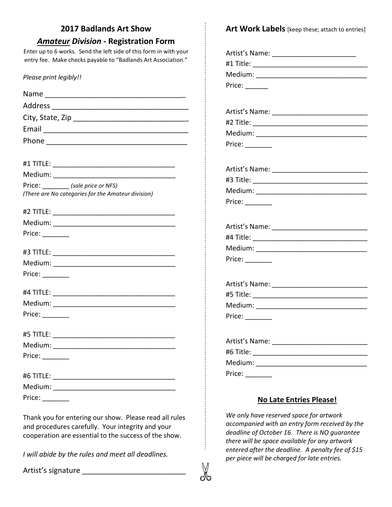| <b>2017 Badlands Art Show</b>                                     | Art Work Labels [keep these; attach to entries] |
|-------------------------------------------------------------------|-------------------------------------------------|
| <b>Amateur Division - Registration Form</b>                       |                                                 |
| Enter up to 6 works. Send the left side of this form in with your |                                                 |
| entry fee. Make checks payable to "Badlands Art Association."     |                                                 |
| Please print legibly!!                                            |                                                 |
|                                                                   | Price: $\_\_$                                   |
|                                                                   |                                                 |
|                                                                   |                                                 |
|                                                                   |                                                 |
|                                                                   |                                                 |
|                                                                   |                                                 |
|                                                                   |                                                 |
|                                                                   |                                                 |
|                                                                   |                                                 |
| Price: (sale price or NFS)                                        |                                                 |
| (There are No categories for the Amateur division)                |                                                 |
|                                                                   |                                                 |
|                                                                   |                                                 |
|                                                                   |                                                 |
|                                                                   |                                                 |
|                                                                   |                                                 |
|                                                                   | Price: $\_\_$                                   |
|                                                                   |                                                 |
| Price: $\_\_$                                                     |                                                 |
|                                                                   |                                                 |
|                                                                   |                                                 |
|                                                                   |                                                 |
|                                                                   | Price:                                          |
|                                                                   |                                                 |
|                                                                   |                                                 |
| Price: $\_\_$                                                     |                                                 |
|                                                                   |                                                 |
|                                                                   | Price: $\_\_$                                   |
|                                                                   |                                                 |
|                                                                   | <b>No Late Entries Please!</b>                  |
|                                                                   |                                                 |

X

*We only have reserved space for artwork* 

*per piece will be charged for late entries.*

*accompanied with an entry form received by the deadline of October 16. There is NO guarantee there will be space available for any artwork entered after the deadline. A penalty fee of \$15* 

Thank you for entering our show. Please read all rules and procedures carefully. Your integrity and your cooperation are essential to the success of the show.

*I will abide by the rules and meet all deadlines.*

Artist's signature \_